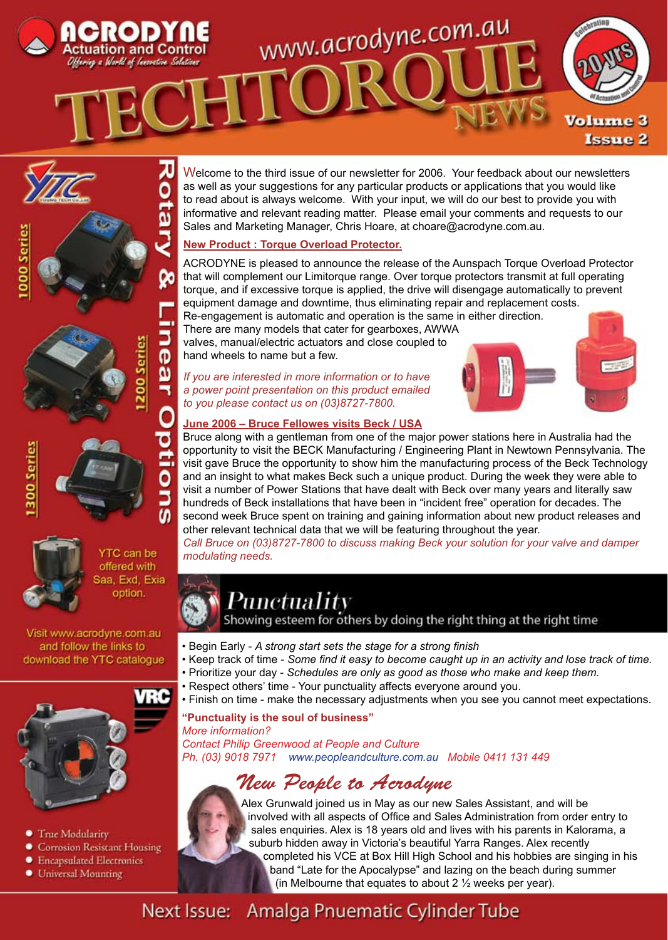





**YTC** can be offered with Saa, Exd, Exia option.

Visit www.acrodyne.com.au and follow the links to download the YTC catalogue



- **True Modularity**
- Corrosion Resistant Housing
- Encapsulated Electronics
- **•** Universal Mounting

Welcome to the third issue of our newsletter for 2006. Your feedback about our newsletters as well as your suggestions for any particular products or applications that you would like to read about is always welcome. With your input, we will do our best to provide you with informative and relevant reading matter. Please email your comments and requests to our Sales and Marketing Manager, Chris Hoare, at choare@acrodyne.com.au.

## **New Product : Torque Overload Protector.**

ACRODYNE is pleased to announce the release of the Aunspach Torque Overload Protector that will complement our Limitorque range. Over torque protectors transmit at full operating torque, and if excessive torque is applied, the drive will disengage automatically to prevent equipment damage and downtime, thus eliminating repair and replacement costs.

Re-engagement is automatic and operation is the same in either direction. There are many models that cater for gearboxes, AWWA valves, manual/electric actuators and close coupled to hand wheels to name but a few.

*If you are interested in more information or to have a power point presentation on this product emailed to you please contact us on (03)8727-7800.* 



## **June 2006 – Bruce Fellowes visits Beck / USA**

Bruce along with a gentleman from one of the major power stations here in Australia had the opportunity to visit the BECK Manufacturing / Engineering Plant in Newtown Pennsylvania. The visit gave Bruce the opportunity to show him the manufacturing process of the Beck Technology and an insight to what makes Beck such a unique product. During the week they were able to visit a number of Power Stations that have dealt with Beck over many years and literally saw hundreds of Beck installations that have been in "incident free" operation for decades. The second week Bruce spent on training and gaining information about new product releases and other relevant technical data that we will be featuring throughout the year.

*Call Bruce on (03)8727-7800 to discuss making Beck your solution for your valve and damper modulating needs.*



Showing esteem for others by doing the right thing at the right time

- Begin Early *A strong start sets the stage for a strong finish*
- Keep track of time *Some find it easy to become caught up in an activity and lose track of time.*
- Prioritize your day *Schedules are only as good as those who make and keep them.*
	- Respect others' time Your punctuality affects everyone around you.
	- Finish on time make the necessary adjustments when you see you cannot meet expectations.

**"Punctuality is the soul of business"** *More information?*

*Contact Philip Greenwood at People and Culture Ph. (03) 9018 7971 www.peopleandculture.com.au Mobile 0411 131 449*

# *New People to Acrodyne*



Alex Grunwald joined us in May as our new Sales Assistant, and will be involved with all aspects of Office and Sales Administration from order entry to sales enquiries. Alex is 18 years old and lives with his parents in Kalorama, a suburb hidden away in Victoria's beautiful Yarra Ranges. Alex recently completed his VCE at Box Hill High School and his hobbies are singing in his band "Late for the Apocalypse" and lazing on the beach during summer (in Melbourne that equates to about 2 ½ weeks per year).

### Next Issue: Amalga Pnuematic Cylinder Tube